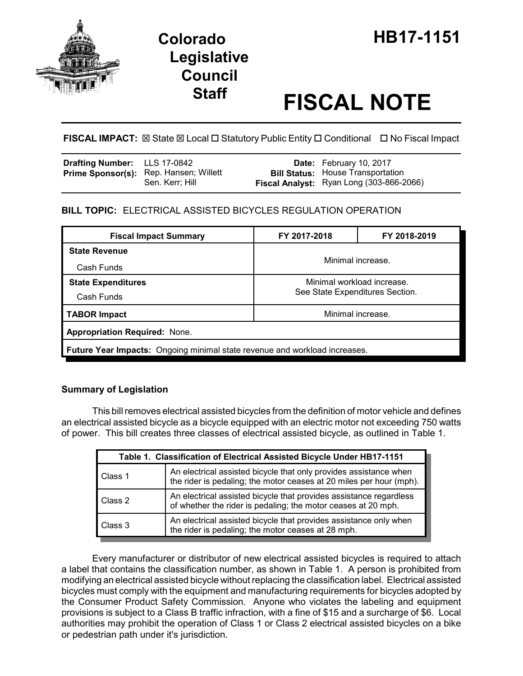

# **Legislative Council**

# **Staff FISCAL NOTE**

## **FISCAL IMPACT:** ⊠ State ⊠ Local □ Statutory Public Entity □ Conditional □ No Fiscal Impact

| <b>Drafting Number:</b> LLS 17-0842 |                                                                  | <b>Date:</b> February 10, 2017                                                       |
|-------------------------------------|------------------------------------------------------------------|--------------------------------------------------------------------------------------|
|                                     | <b>Prime Sponsor(s):</b> Rep. Hansen; Willett<br>Sen. Kerr; Hill | <b>Bill Status:</b> House Transportation<br>Fiscal Analyst: Ryan Long (303-866-2066) |

# **BILL TOPIC:** ELECTRICAL ASSISTED BICYCLES REGULATION OPERATION

| <b>Fiscal Impact Summary</b>                                               | FY 2017-2018                                                  | FY 2018-2019 |  |  |  |
|----------------------------------------------------------------------------|---------------------------------------------------------------|--------------|--|--|--|
| <b>State Revenue</b>                                                       | Minimal increase.                                             |              |  |  |  |
| Cash Funds                                                                 |                                                               |              |  |  |  |
| <b>State Expenditures</b>                                                  | Minimal workload increase.<br>See State Expenditures Section. |              |  |  |  |
| Cash Funds                                                                 |                                                               |              |  |  |  |
| <b>TABOR Impact</b>                                                        | Minimal increase.                                             |              |  |  |  |
| <b>Appropriation Required: None.</b>                                       |                                                               |              |  |  |  |
| Future Year Impacts: Ongoing minimal state revenue and workload increases. |                                                               |              |  |  |  |

### **Summary of Legislation**

This bill removes electrical assisted bicycles from the definition of motor vehicle and defines an electrical assisted bicycle as a bicycle equipped with an electric motor not exceeding 750 watts of power. This bill creates three classes of electrical assisted bicycle, as outlined in Table 1.

| Table 1. Classification of Electrical Assisted Bicycle Under HB17-1151 |                                                                                                                                          |  |  |  |
|------------------------------------------------------------------------|------------------------------------------------------------------------------------------------------------------------------------------|--|--|--|
| Class 1                                                                | An electrical assisted bicycle that only provides assistance when<br>the rider is pedaling; the motor ceases at 20 miles per hour (mph). |  |  |  |
| Class 2                                                                | An electrical assisted bicycle that provides assistance regardless<br>of whether the rider is pedaling; the motor ceases at 20 mph.      |  |  |  |
| Class 3                                                                | An electrical assisted bicycle that provides assistance only when<br>the rider is pedaling; the motor ceases at 28 mph.                  |  |  |  |

Every manufacturer or distributor of new electrical assisted bicycles is required to attach a label that contains the classification number, as shown in Table 1. A person is prohibited from modifying an electrical assisted bicycle without replacing the classification label. Electrical assisted bicycles must comply with the equipment and manufacturing requirements for bicycles adopted by the Consumer Product Safety Commission. Anyone who violates the labeling and equipment provisions is subject to a Class B traffic infraction, with a fine of \$15 and a surcharge of \$6. Local authorities may prohibit the operation of Class 1 or Class 2 electrical assisted bicycles on a bike or pedestrian path under it's jurisdiction.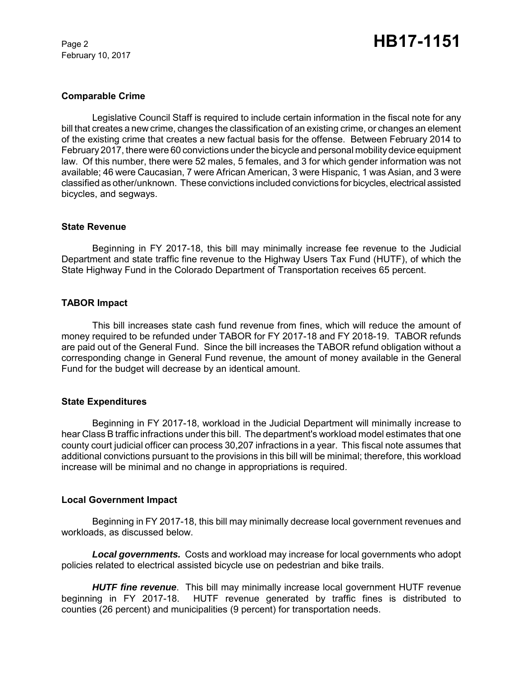February 10, 2017

#### **Comparable Crime**

Legislative Council Staff is required to include certain information in the fiscal note for any bill that creates a new crime, changes the classification of an existing crime, or changes an element of the existing crime that creates a new factual basis for the offense. Between February 2014 to February 2017, there were 60 convictions under the bicycle and personal mobility device equipment law. Of this number, there were 52 males, 5 females, and 3 for which gender information was not available; 46 were Caucasian, 7 were African American, 3 were Hispanic, 1 was Asian, and 3 were classified as other/unknown. These convictions included convictions for bicycles, electrical assisted bicycles, and segways.

#### **State Revenue**

Beginning in FY 2017-18, this bill may minimally increase fee revenue to the Judicial Department and state traffic fine revenue to the Highway Users Tax Fund (HUTF), of which the State Highway Fund in the Colorado Department of Transportation receives 65 percent.

#### **TABOR Impact**

This bill increases state cash fund revenue from fines, which will reduce the amount of money required to be refunded under TABOR for FY 2017-18 and FY 2018-19. TABOR refunds are paid out of the General Fund. Since the bill increases the TABOR refund obligation without a corresponding change in General Fund revenue, the amount of money available in the General Fund for the budget will decrease by an identical amount.

#### **State Expenditures**

Beginning in FY 2017-18, workload in the Judicial Department will minimally increase to hear Class B traffic infractions under this bill. The department's workload model estimates that one county court judicial officer can process 30,207 infractions in a year. This fiscal note assumes that additional convictions pursuant to the provisions in this bill will be minimal; therefore, this workload increase will be minimal and no change in appropriations is required.

#### **Local Government Impact**

Beginning in FY 2017-18, this bill may minimally decrease local government revenues and workloads, as discussed below.

*Local governments.* Costs and workload may increase for local governments who adopt policies related to electrical assisted bicycle use on pedestrian and bike trails.

*HUTF fine revenue*. This bill may minimally increase local government HUTF revenue beginning in FY 2017-18. HUTF revenue generated by traffic fines is distributed to counties (26 percent) and municipalities (9 percent) for transportation needs.